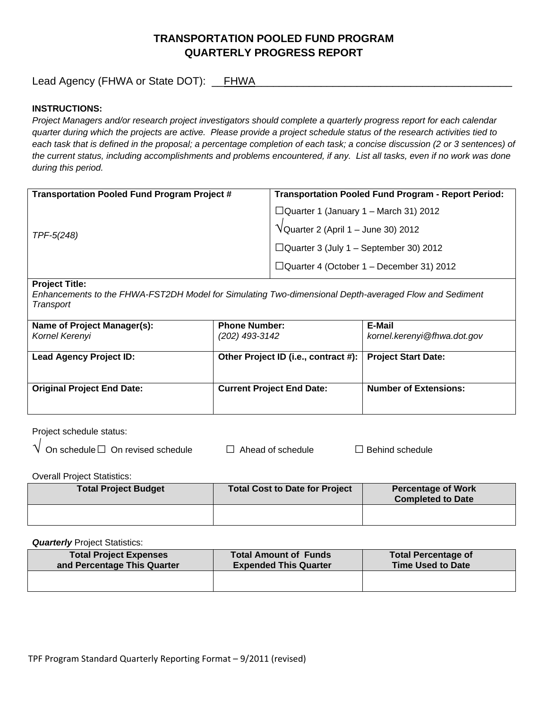# **TRANSPORTATION POOLED FUND PROGRAM QUARTERLY PROGRESS REPORT**

Lead Agency (FHWA or State DOT): \_\_FHWA

## **INSTRUCTIONS:**

*Project Managers and/or research project investigators should complete a quarterly progress report for each calendar quarter during which the projects are active. Please provide a project schedule status of the research activities tied to*  each task that is defined in the proposal; a percentage completion of each task; a concise discussion (2 or 3 sentences) of *the current status, including accomplishments and problems encountered, if any. List all tasks, even if no work was done during this period.*

| <b>Transportation Pooled Fund Program Project #</b> | <b>Transportation Pooled Fund Program - Report Period:</b> |  |
|-----------------------------------------------------|------------------------------------------------------------|--|
|                                                     | $\Box$ Quarter 1 (January 1 – March 31) 2012               |  |
| TPF-5(248)                                          | VQuarter 2 (April 1 - June 30) 2012                        |  |
|                                                     | $\Box$ Quarter 3 (July 1 – September 30) 2012              |  |
|                                                     | $\Box$ Quarter 4 (October 1 – December 31) 2012            |  |
|                                                     |                                                            |  |

#### **Project Title:**

*Enhancements to the FHWA-FST2DH Model for Simulating Two-dimensional Depth-averaged Flow and Sediment Transport*

| Name of Project Manager(s):<br>Kornel Kerenyi | <b>Phone Number:</b><br>(202) 493-3142 | E-Mail<br>kornel.kerenyi@fhwa.dot.gov |
|-----------------------------------------------|----------------------------------------|---------------------------------------|
| <b>Lead Agency Project ID:</b>                | Other Project ID (i.e., contract #):   | <b>Project Start Date:</b>            |
| <b>Original Project End Date:</b>             | <b>Current Project End Date:</b>       | <b>Number of Extensions:</b>          |

Project schedule status:

| $\sf{V}\,$ On schedule $\Box\,$ On revised schedul $\sf{s}$ |
|-------------------------------------------------------------|
|-------------------------------------------------------------|

 $\theta$  □  $\Box$  Ahead of schedule □  $\Box$  Behind schedule

Overall Project Statistics:

| <b>Total Project Budget</b> | Total Cost to Date for Project | <b>Percentage of Work</b><br><b>Completed to Date</b> |
|-----------------------------|--------------------------------|-------------------------------------------------------|
|                             |                                |                                                       |

**Quarterly** Project Statistics:

| <b>Total Project Expenses</b> | <b>Total Amount of Funds</b> | <b>Total Percentage of</b> |
|-------------------------------|------------------------------|----------------------------|
| and Percentage This Quarter   | <b>Expended This Quarter</b> | <b>Time Used to Date</b>   |
|                               |                              |                            |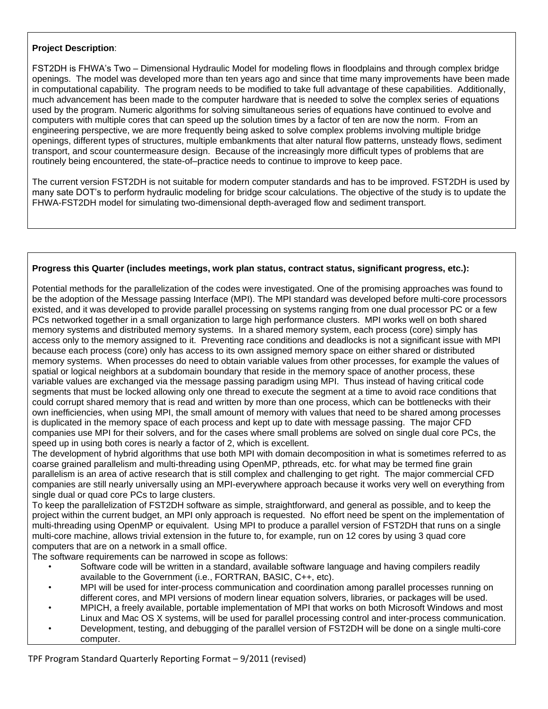## **Project Description**:

FST2DH is FHWA's Two – Dimensional Hydraulic Model for modeling flows in floodplains and through complex bridge openings. The model was developed more than ten years ago and since that time many improvements have been made in computational capability. The program needs to be modified to take full advantage of these capabilities. Additionally, much advancement has been made to the computer hardware that is needed to solve the complex series of equations used by the program. Numeric algorithms for solving simultaneous series of equations have continued to evolve and computers with multiple cores that can speed up the solution times by a factor of ten are now the norm. From an engineering perspective, we are more frequently being asked to solve complex problems involving multiple bridge openings, different types of structures, multiple embankments that alter natural flow patterns, unsteady flows, sediment transport, and scour countermeasure design. Because of the increasingly more difficult types of problems that are routinely being encountered, the state-of–practice needs to continue to improve to keep pace.

The current version FST2DH is not suitable for modern computer standards and has to be improved. FST2DH is used by many sate DOT's to perform hydraulic modeling for bridge scour calculations. The objective of the study is to update the FHWA-FST2DH model for simulating two-dimensional depth-averaged flow and sediment transport.

## **Progress this Quarter (includes meetings, work plan status, contract status, significant progress, etc.):**

Potential methods for the parallelization of the codes were investigated. One of the promising approaches was found to be the adoption of the Message passing Interface (MPI). The MPI standard was developed before multi-core processors existed, and it was developed to provide parallel processing on systems ranging from one dual processor PC or a few PCs networked together in a small organization to large high performance clusters. MPI works well on both shared memory systems and distributed memory systems. In a shared memory system, each process (core) simply has access only to the memory assigned to it. Preventing race conditions and deadlocks is not a significant issue with MPI because each process (core) only has access to its own assigned memory space on either shared or distributed memory systems. When processes do need to obtain variable values from other processes, for example the values of spatial or logical neighbors at a subdomain boundary that reside in the memory space of another process, these variable values are exchanged via the message passing paradigm using MPI. Thus instead of having critical code segments that must be locked allowing only one thread to execute the segment at a time to avoid race conditions that could corrupt shared memory that is read and written by more than one process, which can be bottlenecks with their own inefficiencies, when using MPI, the small amount of memory with values that need to be shared among processes is duplicated in the memory space of each process and kept up to date with message passing. The major CFD companies use MPI for their solvers, and for the cases where small problems are solved on single dual core PCs, the speed up in using both cores is nearly a factor of 2, which is excellent.

The development of hybrid algorithms that use both MPI with domain decomposition in what is sometimes referred to as coarse grained parallelism and multi-threading using OpenMP, pthreads, etc. for what may be termed fine grain parallelism is an area of active research that is still complex and challenging to get right. The major commercial CFD companies are still nearly universally using an MPI-everywhere approach because it works very well on everything from single dual or quad core PCs to large clusters.

To keep the parallelization of FST2DH software as simple, straightforward, and general as possible, and to keep the project within the current budget, an MPI only approach is requested. No effort need be spent on the implementation of multi-threading using OpenMP or equivalent. Using MPI to produce a parallel version of FST2DH that runs on a single multi-core machine, allows trivial extension in the future to, for example, run on 12 cores by using 3 quad core computers that are on a network in a small office.

The software requirements can be narrowed in scope as follows:

- Software code will be written in a standard, available software language and having compilers readily available to the Government (i.e., FORTRAN, BASIC, C++, etc).
- MPI will be used for inter-process communication and coordination among parallel processes running on different cores, and MPI versions of modern linear equation solvers, libraries, or packages will be used.
- MPICH, a freely available, portable implementation of MPI that works on both Microsoft Windows and most Linux and Mac OS X systems, will be used for parallel processing control and inter-process communication.
- Development, testing, and debugging of the parallel version of FST2DH will be done on a single multi-core computer.

TPF Program Standard Quarterly Reporting Format – 9/2011 (revised)